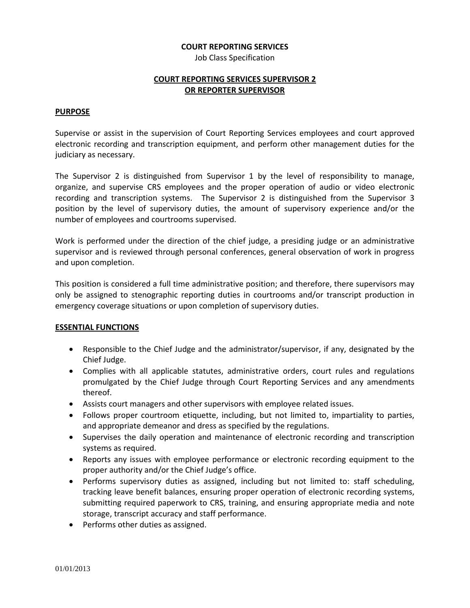#### **COURT REPORTING SERVICES**

Job Class Specification

## **COURT REPORTING SERVICES SUPERVISOR 2 OR REPORTER SUPERVISOR**

#### **PURPOSE**

Supervise or assist in the supervision of Court Reporting Services employees and court approved electronic recording and transcription equipment, and perform other management duties for the judiciary as necessary.

The Supervisor 2 is distinguished from Supervisor 1 by the level of responsibility to manage, organize, and supervise CRS employees and the proper operation of audio or video electronic recording and transcription systems. The Supervisor 2 is distinguished from the Supervisor 3 position by the level of supervisory duties, the amount of supervisory experience and/or the number of employees and courtrooms supervised.

Work is performed under the direction of the chief judge, a presiding judge or an administrative supervisor and is reviewed through personal conferences, general observation of work in progress and upon completion.

This position is considered a full time administrative position; and therefore, there supervisors may only be assigned to stenographic reporting duties in courtrooms and/or transcript production in emergency coverage situations or upon completion of supervisory duties.

## **ESSENTIAL FUNCTIONS**

- Responsible to the Chief Judge and the administrator/supervisor, if any, designated by the Chief Judge.
- Complies with all applicable statutes, administrative orders, court rules and regulations promulgated by the Chief Judge through Court Reporting Services and any amendments thereof.
- Assists court managers and other supervisors with employee related issues.
- Follows proper courtroom etiquette, including, but not limited to, impartiality to parties, and appropriate demeanor and dress as specified by the regulations.
- Supervises the daily operation and maintenance of electronic recording and transcription systems as required.
- Reports any issues with employee performance or electronic recording equipment to the proper authority and/or the Chief Judge's office.
- Performs supervisory duties as assigned, including but not limited to: staff scheduling, tracking leave benefit balances, ensuring proper operation of electronic recording systems, submitting required paperwork to CRS, training, and ensuring appropriate media and note storage, transcript accuracy and staff performance.
- Performs other duties as assigned.